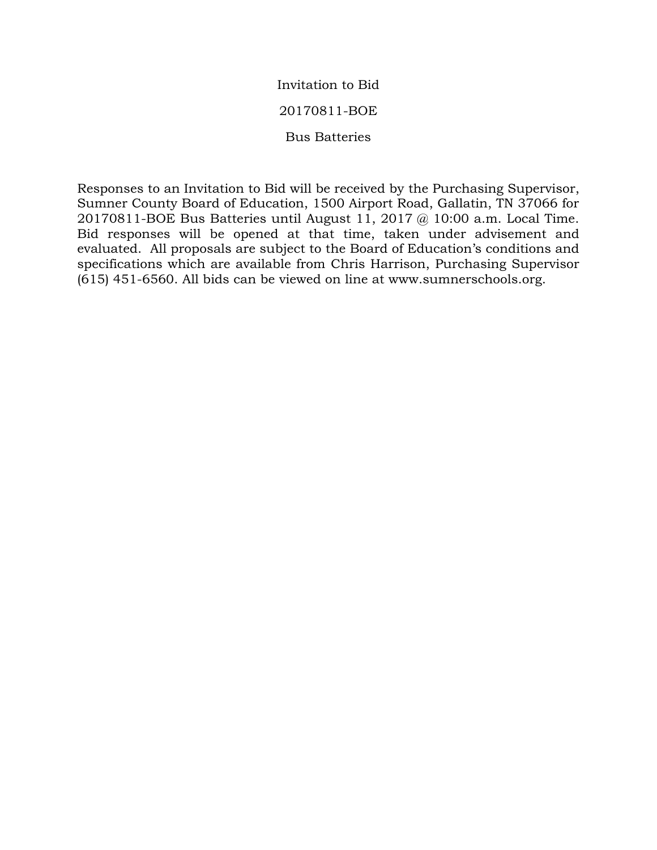## Invitation to Bid

## 20170811-BOE

Bus Batteries

Responses to an Invitation to Bid will be received by the Purchasing Supervisor, Sumner County Board of Education, 1500 Airport Road, Gallatin, TN 37066 for 20170811-BOE Bus Batteries until August 11, 2017 @ 10:00 a.m. Local Time. Bid responses will be opened at that time, taken under advisement and evaluated. All proposals are subject to the Board of Education's conditions and specifications which are available from Chris Harrison, Purchasing Supervisor (615) 451-6560. All bids can be viewed on line at www.sumnerschools.org.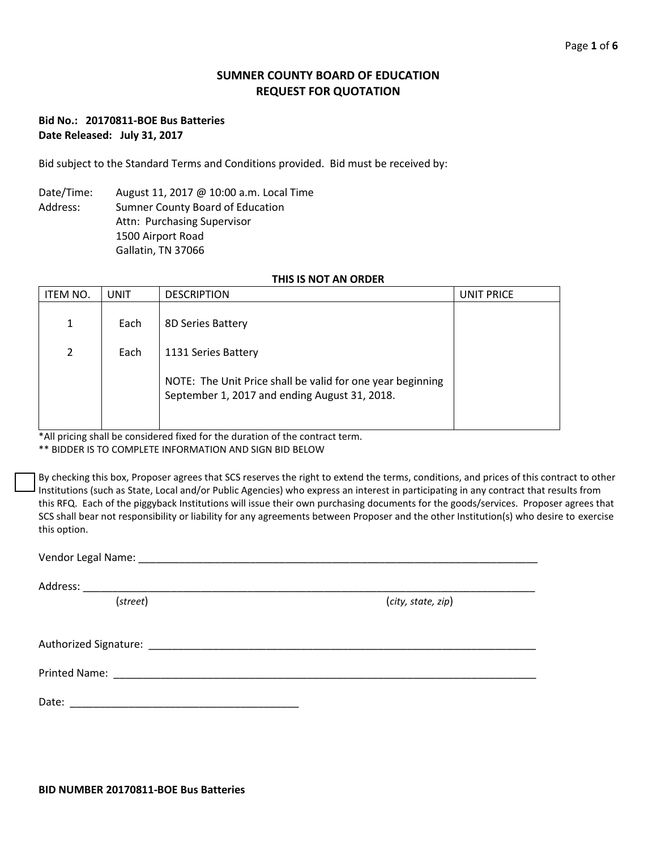## **SUMNER COUNTY BOARD OF EDUCATION REQUEST FOR QUOTATION**

### **Bid No.: 20170811-BOE Bus Batteries Date Released: July 31, 2017**

Bid subject to the Standard Terms and Conditions provided. Bid must be received by:

Date/Time: August 11, 2017 @ 10:00 a.m. Local Time Address: Sumner County Board of Education Attn: Purchasing Supervisor 1500 Airport Road Gallatin, TN 37066

### **THIS IS NOT AN ORDER**

| ITEM NO.       | <b>UNIT</b> | <b>DESCRIPTION</b>                                                                                          | UNIT PRICE |
|----------------|-------------|-------------------------------------------------------------------------------------------------------------|------------|
| 1              | Each        | 8D Series Battery                                                                                           |            |
| $\overline{2}$ | Each        | 1131 Series Battery                                                                                         |            |
|                |             | NOTE: The Unit Price shall be valid for one year beginning<br>September 1, 2017 and ending August 31, 2018. |            |

\*All pricing shall be considered fixed for the duration of the contract term.

\*\* BIDDER IS TO COMPLETE INFORMATION AND SIGN BID BELOW

By checking this box, Proposer agrees that SCS reserves the right to extend the terms, conditions, and prices of this contract to other Institutions (such as State, Local and/or Public Agencies) who express an interest in participating in any contract that results from this RFQ. Each of the piggyback Institutions will issue their own purchasing documents for the goods/services. Proposer agrees that SCS shall bear not responsibility or liability for any agreements between Proposer and the other Institution(s) who desire to exercise this option.

Vendor Legal Name: \_\_\_\_\_\_\_\_\_\_\_\_\_\_\_\_\_\_\_\_\_\_\_\_\_\_\_\_\_\_\_\_\_\_\_\_\_\_\_\_\_\_\_\_\_\_\_\_\_\_\_\_\_\_\_\_\_\_\_\_\_\_\_\_\_\_\_\_

Address: \_\_\_\_\_\_

(*street*) (*city, state, zip*)

| Authorized Signature: |  |
|-----------------------|--|
|                       |  |

Printed Name: \_\_\_\_\_\_\_\_\_\_\_\_\_\_\_\_\_\_\_\_\_\_\_\_\_\_\_\_\_\_\_\_\_\_\_\_\_\_\_\_\_\_\_\_\_\_\_\_\_\_\_\_\_\_\_\_\_\_\_\_\_\_\_\_\_\_\_\_\_\_\_\_

Date: \_\_\_\_\_\_\_\_\_\_\_\_\_\_\_\_\_\_\_\_\_\_\_\_\_\_\_\_\_\_\_\_\_\_\_\_\_\_\_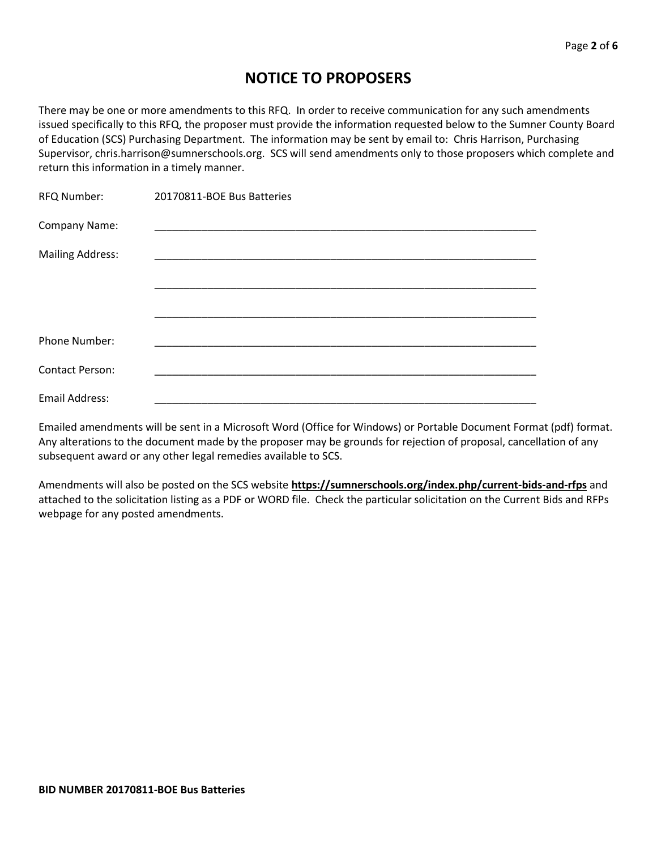# **NOTICE TO PROPOSERS**

There may be one or more amendments to this RFQ. In order to receive communication for any such amendments issued specifically to this RFQ, the proposer must provide the information requested below to the Sumner County Board of Education (SCS) Purchasing Department. The information may be sent by email to: Chris Harrison, Purchasing Supervisor, chris.harrison@sumnerschools.org. SCS will send amendments only to those proposers which complete and return this information in a timely manner.

| RFQ Number:             | 20170811-BOE Bus Batteries |
|-------------------------|----------------------------|
| Company Name:           |                            |
| <b>Mailing Address:</b> |                            |
|                         |                            |
|                         |                            |
|                         |                            |
| Phone Number:           |                            |
| <b>Contact Person:</b>  |                            |
| <b>Email Address:</b>   |                            |

Emailed amendments will be sent in a Microsoft Word (Office for Windows) or Portable Document Format (pdf) format. Any alterations to the document made by the proposer may be grounds for rejection of proposal, cancellation of any subsequent award or any other legal remedies available to SCS.

Amendments will also be posted on the SCS website **https://sumnerschools.org/index.php/current-bids-and-rfps** and attached to the solicitation listing as a PDF or WORD file. Check the particular solicitation on the Current Bids and RFPs webpage for any posted amendments.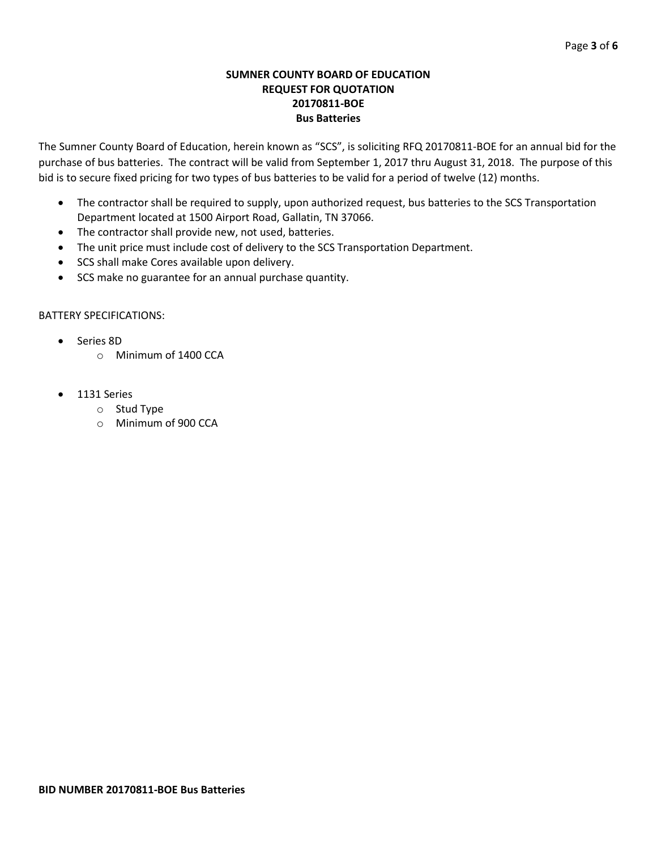### **SUMNER COUNTY BOARD OF EDUCATION REQUEST FOR QUOTATION 20170811-BOE Bus Batteries**

The Sumner County Board of Education, herein known as "SCS", is soliciting RFQ 20170811-BOE for an annual bid for the purchase of bus batteries. The contract will be valid from September 1, 2017 thru August 31, 2018. The purpose of this bid is to secure fixed pricing for two types of bus batteries to be valid for a period of twelve (12) months.

- The contractor shall be required to supply, upon authorized request, bus batteries to the SCS Transportation Department located at 1500 Airport Road, Gallatin, TN 37066.
- The contractor shall provide new, not used, batteries.
- The unit price must include cost of delivery to the SCS Transportation Department.
- SCS shall make Cores available upon delivery.
- SCS make no guarantee for an annual purchase quantity.

### BATTERY SPECIFICATIONS:

- Series 8D
	- o Minimum of 1400 CCA
- 1131 Series
	- o Stud Type
	- o Minimum of 900 CCA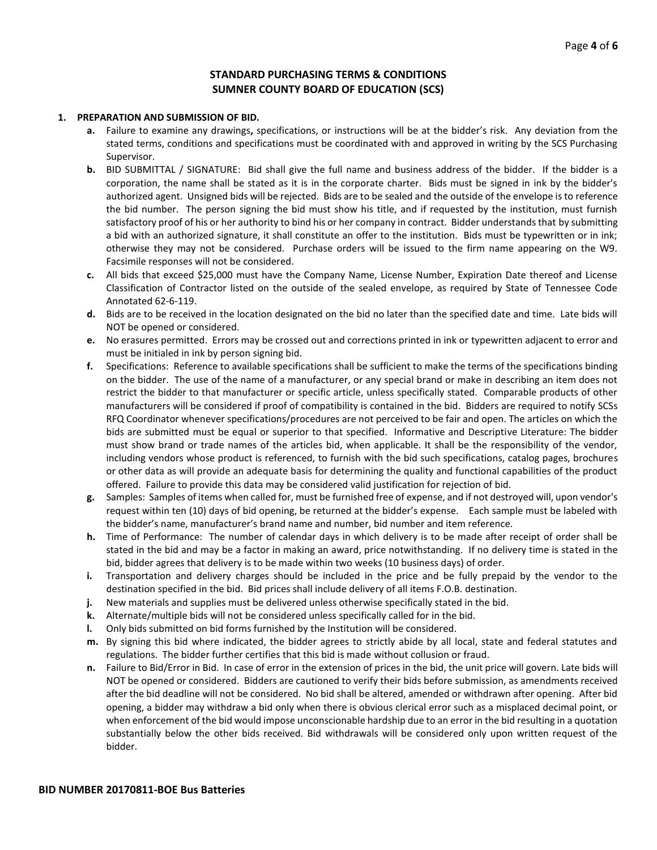### **STANDARD PURCHASING TERMS & CONDITIONS SUMNER COUNTY BOARD OF EDUCATION (SCS)**

#### **1. PREPARATION AND SUBMISSION OF BID.**

- **a.** Failure to examine any drawings**,** specifications, or instructions will be at the bidder's risk. Any deviation from the stated terms, conditions and specifications must be coordinated with and approved in writing by the SCS Purchasing Supervisor.
- **b.** BID SUBMITTAL / SIGNATURE: Bid shall give the full name and business address of the bidder. If the bidder is a corporation, the name shall be stated as it is in the corporate charter. Bids must be signed in ink by the bidder's authorized agent. Unsigned bids will be rejected. Bids are to be sealed and the outside of the envelope is to reference the bid number. The person signing the bid must show his title, and if requested by the institution, must furnish satisfactory proof of his or her authority to bind his or her company in contract. Bidder understands that by submitting a bid with an authorized signature, it shall constitute an offer to the institution. Bids must be typewritten or in ink; otherwise they may not be considered. Purchase orders will be issued to the firm name appearing on the W9. Facsimile responses will not be considered.
- **c.** All bids that exceed \$25,000 must have the Company Name, License Number, Expiration Date thereof and License Classification of Contractor listed on the outside of the sealed envelope, as required by State of Tennessee Code Annotated 62-6-119.
- **d.** Bids are to be received in the location designated on the bid no later than the specified date and time. Late bids will NOT be opened or considered.
- **e.** No erasures permitted. Errors may be crossed out and corrections printed in ink or typewritten adjacent to error and must be initialed in ink by person signing bid.
- **f.** Specifications: Reference to available specifications shall be sufficient to make the terms of the specifications binding on the bidder. The use of the name of a manufacturer, or any special brand or make in describing an item does not restrict the bidder to that manufacturer or specific article, unless specifically stated. Comparable products of other manufacturers will be considered if proof of compatibility is contained in the bid. Bidders are required to notify SCSs RFQ Coordinator whenever specifications/procedures are not perceived to be fair and open. The articles on which the bids are submitted must be equal or superior to that specified. Informative and Descriptive Literature: The bidder must show brand or trade names of the articles bid, when applicable. It shall be the responsibility of the vendor, including vendors whose product is referenced, to furnish with the bid such specifications, catalog pages, brochures or other data as will provide an adequate basis for determining the quality and functional capabilities of the product offered. Failure to provide this data may be considered valid justification for rejection of bid.
- **g.** Samples: Samples of items when called for, must be furnished free of expense, and if not destroyed will, upon vendor's request within ten (10) days of bid opening, be returned at the bidder's expense. Each sample must be labeled with the bidder's name, manufacturer's brand name and number, bid number and item reference.
- **h.** Time of Performance: The number of calendar days in which delivery is to be made after receipt of order shall be stated in the bid and may be a factor in making an award, price notwithstanding. If no delivery time is stated in the bid, bidder agrees that delivery is to be made within two weeks (10 business days) of order.
- **i.** Transportation and delivery charges should be included in the price and be fully prepaid by the vendor to the destination specified in the bid. Bid prices shall include delivery of all items F.O.B. destination.
- **j.** New materials and supplies must be delivered unless otherwise specifically stated in the bid.
- **k.** Alternate/multiple bids will not be considered unless specifically called for in the bid.
- **l.** Only bids submitted on bid forms furnished by the Institution will be considered.
- **m.** By signing this bid where indicated, the bidder agrees to strictly abide by all local, state and federal statutes and regulations. The bidder further certifies that this bid is made without collusion or fraud.
- **n.** Failure to Bid/Error in Bid. In case of error in the extension of prices in the bid, the unit price will govern. Late bids will NOT be opened or considered. Bidders are cautioned to verify their bids before submission, as amendments received after the bid deadline will not be considered. No bid shall be altered, amended or withdrawn after opening. After bid opening, a bidder may withdraw a bid only when there is obvious clerical error such as a misplaced decimal point, or when enforcement of the bid would impose unconscionable hardship due to an error in the bid resulting in a quotation substantially below the other bids received. Bid withdrawals will be considered only upon written request of the bidder.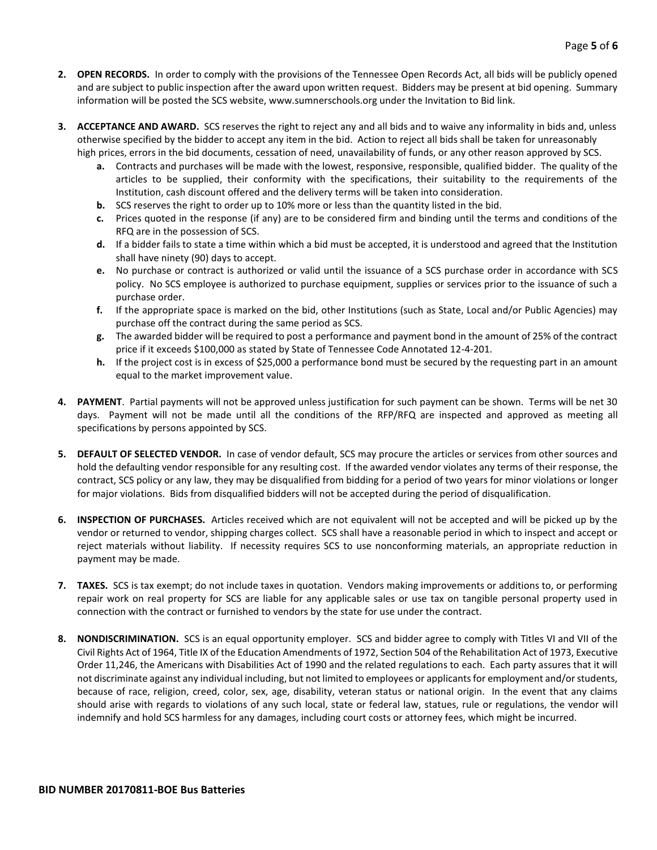- **2. OPEN RECORDS.** In order to comply with the provisions of the Tennessee Open Records Act, all bids will be publicly opened and are subject to public inspection after the award upon written request. Bidders may be present at bid opening. Summary information will be posted the SCS website, www.sumnerschools.org under the Invitation to Bid link.
- **3. ACCEPTANCE AND AWARD.** SCS reserves the right to reject any and all bids and to waive any informality in bids and, unless otherwise specified by the bidder to accept any item in the bid. Action to reject all bids shall be taken for unreasonably high prices, errors in the bid documents, cessation of need, unavailability of funds, or any other reason approved by SCS.
	- **a.** Contracts and purchases will be made with the lowest, responsive, responsible, qualified bidder. The quality of the articles to be supplied, their conformity with the specifications, their suitability to the requirements of the Institution, cash discount offered and the delivery terms will be taken into consideration.
	- **b.** SCS reserves the right to order up to 10% more or less than the quantity listed in the bid.
	- **c.** Prices quoted in the response (if any) are to be considered firm and binding until the terms and conditions of the RFQ are in the possession of SCS.
	- **d.** If a bidder fails to state a time within which a bid must be accepted, it is understood and agreed that the Institution shall have ninety (90) days to accept.
	- **e.** No purchase or contract is authorized or valid until the issuance of a SCS purchase order in accordance with SCS policy. No SCS employee is authorized to purchase equipment, supplies or services prior to the issuance of such a purchase order.
	- **f.** If the appropriate space is marked on the bid, other Institutions (such as State, Local and/or Public Agencies) may purchase off the contract during the same period as SCS.
	- **g.** The awarded bidder will be required to post a performance and payment bond in the amount of 25% of the contract price if it exceeds \$100,000 as stated by State of Tennessee Code Annotated 12-4-201.
	- **h.** If the project cost is in excess of \$25,000 a performance bond must be secured by the requesting part in an amount equal to the market improvement value.
- **4. PAYMENT**. Partial payments will not be approved unless justification for such payment can be shown. Terms will be net 30 days. Payment will not be made until all the conditions of the RFP/RFQ are inspected and approved as meeting all specifications by persons appointed by SCS.
- **5. DEFAULT OF SELECTED VENDOR.** In case of vendor default, SCS may procure the articles or services from other sources and hold the defaulting vendor responsible for any resulting cost. If the awarded vendor violates any terms of their response, the contract, SCS policy or any law, they may be disqualified from bidding for a period of two years for minor violations or longer for major violations. Bids from disqualified bidders will not be accepted during the period of disqualification.
- **6. INSPECTION OF PURCHASES.** Articles received which are not equivalent will not be accepted and will be picked up by the vendor or returned to vendor, shipping charges collect. SCS shall have a reasonable period in which to inspect and accept or reject materials without liability. If necessity requires SCS to use nonconforming materials, an appropriate reduction in payment may be made.
- **7. TAXES.** SCS is tax exempt; do not include taxes in quotation. Vendors making improvements or additions to, or performing repair work on real property for SCS are liable for any applicable sales or use tax on tangible personal property used in connection with the contract or furnished to vendors by the state for use under the contract.
- **8. NONDISCRIMINATION.** SCS is an equal opportunity employer. SCS and bidder agree to comply with Titles VI and VII of the Civil Rights Act of 1964, Title IX of the Education Amendments of 1972, Section 504 of the Rehabilitation Act of 1973, Executive Order 11,246, the Americans with Disabilities Act of 1990 and the related regulations to each. Each party assures that it will not discriminate against any individual including, but not limited to employees or applicants for employment and/or students, because of race, religion, creed, color, sex, age, disability, veteran status or national origin. In the event that any claims should arise with regards to violations of any such local, state or federal law, statues, rule or regulations, the vendor will indemnify and hold SCS harmless for any damages, including court costs or attorney fees, which might be incurred.